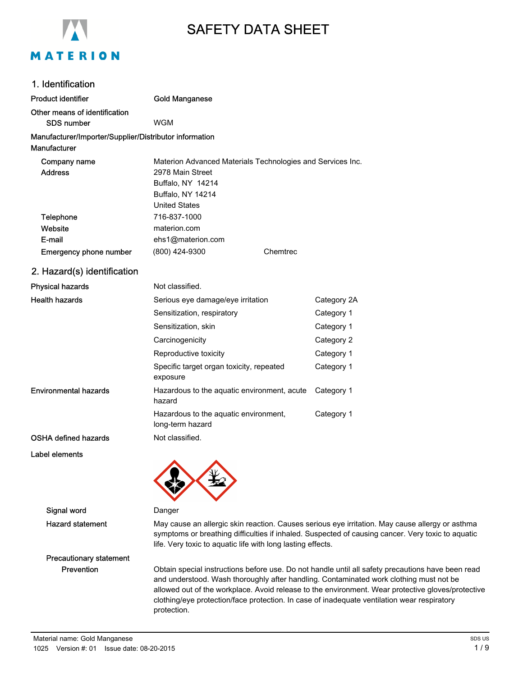

# SAFETY DATA SHEET

| 1. Identification                                      |                                                                                                   |          |             |
|--------------------------------------------------------|---------------------------------------------------------------------------------------------------|----------|-------------|
| <b>Product identifier</b>                              | <b>Gold Manganese</b>                                                                             |          |             |
| Other means of identification<br><b>SDS number</b>     | <b>WGM</b>                                                                                        |          |             |
| Manufacturer/Importer/Supplier/Distributor information |                                                                                                   |          |             |
| Manufacturer                                           |                                                                                                   |          |             |
| Company name                                           | Materion Advanced Materials Technologies and Services Inc.                                        |          |             |
| <b>Address</b>                                         | 2978 Main Street                                                                                  |          |             |
|                                                        | Buffalo, NY 14214                                                                                 |          |             |
|                                                        | Buffalo, NY 14214<br><b>United States</b>                                                         |          |             |
| <b>Telephone</b>                                       | 716-837-1000                                                                                      |          |             |
| Website                                                | materion.com                                                                                      |          |             |
| E-mail                                                 | ehs1@materion.com                                                                                 |          |             |
| <b>Emergency phone number</b>                          | (800) 424-9300                                                                                    | Chemtrec |             |
| 2. Hazard(s) identification                            |                                                                                                   |          |             |
| <b>Physical hazards</b>                                | Not classified.                                                                                   |          |             |
| <b>Health hazards</b>                                  | Serious eye damage/eye irritation                                                                 |          | Category 2A |
|                                                        | Sensitization, respiratory                                                                        |          | Category 1  |
|                                                        | Sensitization, skin                                                                               |          | Category 1  |
|                                                        | Carcinogenicity                                                                                   |          | Category 2  |
|                                                        | Reproductive toxicity                                                                             |          | Category 1  |
|                                                        | Specific target organ toxicity, repeated<br>exposure                                              |          | Category 1  |
| <b>Environmental hazards</b>                           | Hazardous to the aquatic environment, acute<br>hazard                                             |          | Category 1  |
|                                                        | Hazardous to the aquatic environment,<br>long-term hazard                                         |          | Category 1  |
| <b>OSHA defined hazards</b>                            | Not classified.                                                                                   |          |             |
| Label elements                                         |                                                                                                   |          |             |
| Signal word                                            | Danger                                                                                            |          |             |
| <b>Hazard statement</b>                                | May cause an allergic skin reaction. Causes serious eye irritation. May cause allergy or asthma   |          |             |
|                                                        | symptoms or breathing difficulties if inhaled. Suspected of causing cancer. Very toxic to aquatic |          |             |

Precautionary statement

Prevention **Obtain special instructions before use**. Do not handle until all safety precautions have been read and understood. Wash thoroughly after handling. Contaminated work clothing must not be allowed out of the workplace. Avoid release to the environment. Wear protective gloves/protective clothing/eye protection/face protection. In case of inadequate ventilation wear respiratory protection.

life. Very toxic to aquatic life with long lasting effects.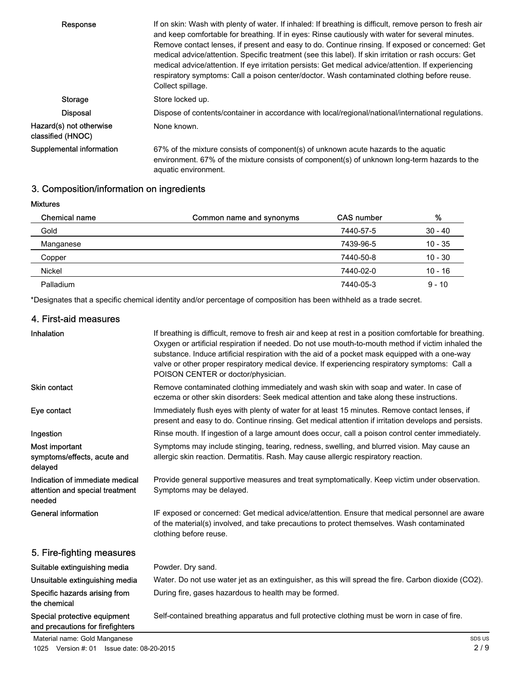| Response                                     | If on skin: Wash with plenty of water. If inhaled: If breathing is difficult, remove person to fresh air<br>and keep comfortable for breathing. If in eyes: Rinse cautiously with water for several minutes.<br>Remove contact lenses, if present and easy to do. Continue rinsing. If exposed or concerned: Get<br>medical advice/attention. Specific treatment (see this label). If skin irritation or rash occurs: Get<br>medical advice/attention. If eye irritation persists: Get medical advice/attention. If experiencing<br>respiratory symptoms: Call a poison center/doctor. Wash contaminated clothing before reuse.<br>Collect spillage. |
|----------------------------------------------|------------------------------------------------------------------------------------------------------------------------------------------------------------------------------------------------------------------------------------------------------------------------------------------------------------------------------------------------------------------------------------------------------------------------------------------------------------------------------------------------------------------------------------------------------------------------------------------------------------------------------------------------------|
| Storage                                      | Store locked up.                                                                                                                                                                                                                                                                                                                                                                                                                                                                                                                                                                                                                                     |
| <b>Disposal</b>                              | Dispose of contents/container in accordance with local/regional/national/international regulations.                                                                                                                                                                                                                                                                                                                                                                                                                                                                                                                                                  |
| Hazard(s) not otherwise<br>classified (HNOC) | None known.                                                                                                                                                                                                                                                                                                                                                                                                                                                                                                                                                                                                                                          |
| Supplemental information                     | 67% of the mixture consists of component(s) of unknown acute hazards to the aquatic<br>environment. 67% of the mixture consists of component(s) of unknown long-term hazards to the<br>aquatic environment.                                                                                                                                                                                                                                                                                                                                                                                                                                          |

# 3. Composition/information on ingredients

Mixtures

Inhalation

| <b>Chemical name</b> | Common name and synonyms | <b>CAS number</b> | %         |
|----------------------|--------------------------|-------------------|-----------|
| Gold                 |                          | 7440-57-5         | $30 - 40$ |
| Manganese            |                          | 7439-96-5         | $10 - 35$ |
| Copper               |                          | 7440-50-8         | $10 - 30$ |
| Nickel               |                          | 7440-02-0         | $10 - 16$ |
| Palladium            |                          | 7440-05-3         | $9 - 10$  |

\*Designates that a specific chemical identity and/or percentage of composition has been withheld as a trade secret.

#### 4. First-aid measures

| Special protective equipment<br>and precautions for firefighters             | Self-contained breathing apparatus and full protective clothing must be worn in case of fire.                                                                                                                                                                                                                                                                                                                                                            |
|------------------------------------------------------------------------------|----------------------------------------------------------------------------------------------------------------------------------------------------------------------------------------------------------------------------------------------------------------------------------------------------------------------------------------------------------------------------------------------------------------------------------------------------------|
| Specific hazards arising from<br>the chemical                                | During fire, gases hazardous to health may be formed.                                                                                                                                                                                                                                                                                                                                                                                                    |
| Unsuitable extinguishing media                                               | Water. Do not use water jet as an extinguisher, as this will spread the fire. Carbon dioxide (CO2).                                                                                                                                                                                                                                                                                                                                                      |
| Suitable extinguishing media                                                 | Powder. Dry sand.                                                                                                                                                                                                                                                                                                                                                                                                                                        |
| 5. Fire-fighting measures                                                    |                                                                                                                                                                                                                                                                                                                                                                                                                                                          |
| General information                                                          | IF exposed or concerned: Get medical advice/attention. Ensure that medical personnel are aware<br>of the material(s) involved, and take precautions to protect themselves. Wash contaminated<br>clothing before reuse.                                                                                                                                                                                                                                   |
| Indication of immediate medical<br>attention and special treatment<br>needed | Provide general supportive measures and treat symptomatically. Keep victim under observation.<br>Symptoms may be delayed.                                                                                                                                                                                                                                                                                                                                |
| Most important<br>symptoms/effects, acute and<br>delayed                     | Symptoms may include stinging, tearing, redness, swelling, and blurred vision. May cause an<br>allergic skin reaction. Dermatitis. Rash. May cause allergic respiratory reaction.                                                                                                                                                                                                                                                                        |
| Ingestion                                                                    | Rinse mouth. If ingestion of a large amount does occur, call a poison control center immediately.                                                                                                                                                                                                                                                                                                                                                        |
| Eye contact                                                                  | Immediately flush eyes with plenty of water for at least 15 minutes. Remove contact lenses, if<br>present and easy to do. Continue rinsing. Get medical attention if irritation develops and persists.                                                                                                                                                                                                                                                   |
| <b>Skin contact</b>                                                          | Remove contaminated clothing immediately and wash skin with soap and water. In case of<br>eczema or other skin disorders: Seek medical attention and take along these instructions.                                                                                                                                                                                                                                                                      |
| Inhalation                                                                   | If breathing is difficult, remove to fresh air and keep at rest in a position comfortable for breathing.<br>Oxygen or artificial respiration if needed. Do not use mouth-to-mouth method if victim inhaled the<br>substance. Induce artificial respiration with the aid of a pocket mask equipped with a one-way<br>valve or other proper respiratory medical device. If experiencing respiratory symptoms: Call a<br>POISON CENTER or doctor/physician. |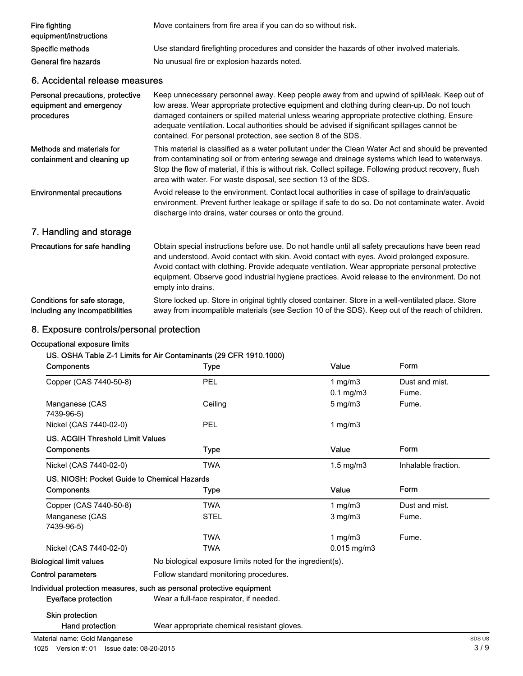| Fire fighting<br>equipment/instructions | Move containers from fire area if you can do so without risk.                              |  |
|-----------------------------------------|--------------------------------------------------------------------------------------------|--|
| Specific methods                        | Use standard firefighting procedures and consider the hazards of other involved materials. |  |
| General fire hazards                    | No unusual fire or explosion hazards noted.                                                |  |
| A Accidental relegge meggures           |                                                                                            |  |

#### 6. Accidental release measures

| Personal precautions, protective<br>equipment and emergency<br>procedures | Keep unnecessary personnel away. Keep people away from and upwind of spill/leak. Keep out of<br>low areas. Wear appropriate protective equipment and clothing during clean-up. Do not touch<br>damaged containers or spilled material unless wearing appropriate protective clothing. Ensure<br>adequate ventilation. Local authorities should be advised if significant spillages cannot be<br>contained. For personal protection, see section 8 of the SDS. |
|---------------------------------------------------------------------------|---------------------------------------------------------------------------------------------------------------------------------------------------------------------------------------------------------------------------------------------------------------------------------------------------------------------------------------------------------------------------------------------------------------------------------------------------------------|
| Methods and materials for<br>containment and cleaning up                  | This material is classified as a water pollutant under the Clean Water Act and should be prevented<br>from contaminating soil or from entering sewage and drainage systems which lead to waterways.<br>Stop the flow of material, if this is without risk. Collect spillage. Following product recovery, flush<br>area with water. For waste disposal, see section 13 of the SDS.                                                                             |
| <b>Environmental precautions</b>                                          | Avoid release to the environment. Contact local authorities in case of spillage to drain/aquatic<br>environment. Prevent further leakage or spillage if safe to do so. Do not contaminate water. Avoid<br>discharge into drains, water courses or onto the ground.                                                                                                                                                                                            |
| 7. Handling and storage                                                   |                                                                                                                                                                                                                                                                                                                                                                                                                                                               |
| Precautions for safe handling                                             | Obtain special instructions before use. Do not handle until all safety precautions have been read<br>and understood. Avoid contact with skin. Avoid contact with eyes. Avoid prolonged exposure.<br>Avoid contact with clothing. Provide adequate ventilation. Wear appropriate personal protective<br>equipment. Observe good industrial hygiene practices. Avoid release to the environment. Do not<br>empty into drains.                                   |
| Conditions for safe storage,<br>including any incompatibilities           | Store locked up. Store in original tightly closed container. Store in a well-ventilated place. Store<br>away from incompatible materials (see Section 10 of the SDS). Keep out of the reach of children.                                                                                                                                                                                                                                                      |

# 8. Exposure controls/personal protection

## Occupational exposure limits

## US. OSHA Table Z-1 Limits for Air Contaminants (29 CFR 1910.1000)

| Components                                  | Type                                                                  | Value              | Form                |  |
|---------------------------------------------|-----------------------------------------------------------------------|--------------------|---------------------|--|
| Copper (CAS 7440-50-8)                      | PEL                                                                   | 1 $mg/m3$          | Dust and mist.      |  |
|                                             |                                                                       | $0.1$ mg/m $3$     | Fume.               |  |
| Manganese (CAS<br>7439-96-5)                | Ceiling                                                               | $5 \text{ mg/m}$   | Fume.               |  |
| Nickel (CAS 7440-02-0)                      | PEL                                                                   | 1 $mq/m3$          |                     |  |
| <b>US. ACGIH Threshold Limit Values</b>     |                                                                       |                    |                     |  |
| Components                                  | Type                                                                  | Value              | Form                |  |
| Nickel (CAS 7440-02-0)                      | <b>TWA</b>                                                            | $1.5 \text{ mg/m}$ | Inhalable fraction. |  |
| US. NIOSH: Pocket Guide to Chemical Hazards |                                                                       |                    |                     |  |
| Components                                  | Type                                                                  | Value              | Form                |  |
| Copper (CAS 7440-50-8)                      | <b>TWA</b>                                                            | 1 $mg/m3$          | Dust and mist.      |  |
| Manganese (CAS<br>7439-96-5)                | <b>STEL</b>                                                           | $3$ mg/m $3$       | Fume.               |  |
|                                             | <b>TWA</b>                                                            | 1 mg/m $3$         | Fume.               |  |
| Nickel (CAS 7440-02-0)                      | <b>TWA</b>                                                            | 0.015 mg/m3        |                     |  |
| <b>Biological limit values</b>              | No biological exposure limits noted for the ingredient(s).            |                    |                     |  |
| Control parameters                          | Follow standard monitoring procedures.                                |                    |                     |  |
|                                             | Individual protection measures, such as personal protective equipment |                    |                     |  |
| Eye/face protection                         | Wear a full-face respirator, if needed.                               |                    |                     |  |
| <b>Skin protection</b>                      |                                                                       |                    |                     |  |
| Hand protection                             | Wear appropriate chemical resistant gloves.                           |                    |                     |  |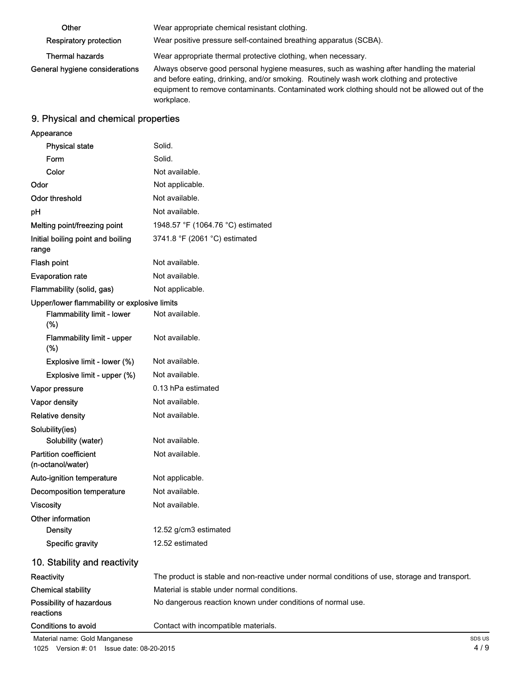| Other                          | Wear appropriate chemical resistant clothing.                                                                                                                                                                                                                                                         |
|--------------------------------|-------------------------------------------------------------------------------------------------------------------------------------------------------------------------------------------------------------------------------------------------------------------------------------------------------|
| <b>Respiratory protection</b>  | Wear positive pressure self-contained breathing apparatus (SCBA).                                                                                                                                                                                                                                     |
| <b>Thermal hazards</b>         | Wear appropriate thermal protective clothing, when necessary.                                                                                                                                                                                                                                         |
| General hygiene considerations | Always observe good personal hygiene measures, such as washing after handling the material<br>and before eating, drinking, and/or smoking. Routinely wash work clothing and protective<br>equipment to remove contaminants. Contaminated work clothing should not be allowed out of the<br>workplace. |

# 9. Physical and chemical properties

| Appearance                                        |                                                                                               |
|---------------------------------------------------|-----------------------------------------------------------------------------------------------|
| <b>Physical state</b>                             | Solid.                                                                                        |
| Form                                              | Solid.                                                                                        |
| Color                                             | Not available.                                                                                |
| Odor                                              | Not applicable.                                                                               |
| <b>Odor threshold</b>                             | Not available.                                                                                |
| pH                                                | Not available.                                                                                |
| Melting point/freezing point                      | 1948.57 °F (1064.76 °C) estimated                                                             |
| Initial boiling point and boiling<br>range        | 3741.8 °F (2061 °C) estimated                                                                 |
| Flash point                                       | Not available.                                                                                |
| <b>Evaporation rate</b>                           | Not available.                                                                                |
| Flammability (solid, gas)                         | Not applicable.                                                                               |
| Upper/lower flammability or explosive limits      |                                                                                               |
| Flammability limit - lower<br>(%)                 | Not available.                                                                                |
| Flammability limit - upper<br>$(\%)$              | Not available.                                                                                |
| Explosive limit - lower (%)                       | Not available.                                                                                |
| Explosive limit - upper (%)                       | Not available.                                                                                |
| Vapor pressure                                    | 0.13 hPa estimated                                                                            |
| Vapor density                                     | Not available.                                                                                |
| <b>Relative density</b>                           | Not available.                                                                                |
| Solubility(ies)                                   |                                                                                               |
| Solubility (water)                                | Not available.                                                                                |
| <b>Partition coefficient</b><br>(n-octanol/water) | Not available.                                                                                |
| Auto-ignition temperature                         | Not applicable.                                                                               |
| <b>Decomposition temperature</b>                  | Not available.                                                                                |
| <b>Viscosity</b>                                  | Not available.                                                                                |
| Other information                                 |                                                                                               |
| <b>Density</b>                                    | 12.52 g/cm3 estimated                                                                         |
| <b>Specific gravity</b>                           | 12.52 estimated                                                                               |
| 10. Stability and reactivity                      |                                                                                               |
| Reactivity                                        | The product is stable and non-reactive under normal conditions of use, storage and transport. |
| <b>Chemical stability</b>                         | Material is stable under normal conditions.                                                   |
| Possibility of hazardous<br>reactions             | No dangerous reaction known under conditions of normal use.                                   |
| Conditions to avoid                               | Contact with incompatible materials.                                                          |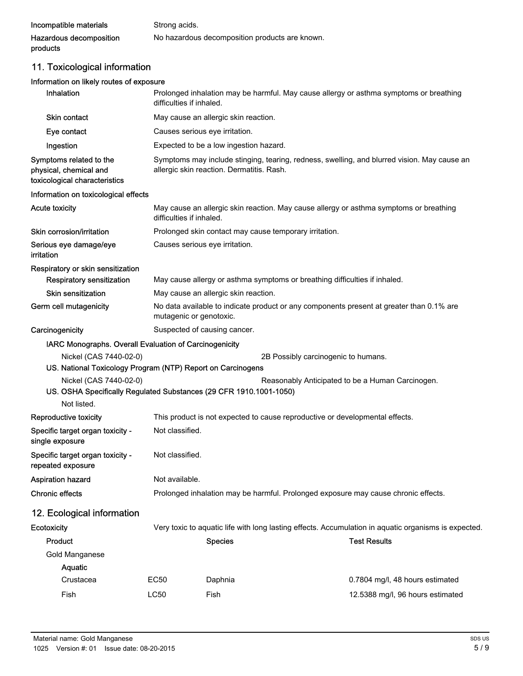| Incompatible materials  | Strong acids.                                  |
|-------------------------|------------------------------------------------|
| Hazardous decomposition | No hazardous decomposition products are known. |
| products                |                                                |

# 11. Toxicological information

## Information on likely routes of exposure

| Inhalation                                                                                   | Prolonged inhalation may be harmful. May cause allergy or asthma symptoms or breathing<br>difficulties if inhaled.                       |                                                                                                                    |                                                                                                      |  |
|----------------------------------------------------------------------------------------------|------------------------------------------------------------------------------------------------------------------------------------------|--------------------------------------------------------------------------------------------------------------------|------------------------------------------------------------------------------------------------------|--|
| <b>Skin contact</b>                                                                          | May cause an allergic skin reaction.                                                                                                     |                                                                                                                    |                                                                                                      |  |
| Eye contact                                                                                  | Causes serious eye irritation.                                                                                                           |                                                                                                                    |                                                                                                      |  |
| Ingestion                                                                                    | Expected to be a low ingestion hazard.                                                                                                   |                                                                                                                    |                                                                                                      |  |
| Symptoms related to the<br>physical, chemical and<br>toxicological characteristics           | Symptoms may include stinging, tearing, redness, swelling, and blurred vision. May cause an<br>allergic skin reaction. Dermatitis. Rash. |                                                                                                                    |                                                                                                      |  |
| Information on toxicological effects                                                         |                                                                                                                                          |                                                                                                                    |                                                                                                      |  |
| <b>Acute toxicity</b>                                                                        |                                                                                                                                          | May cause an allergic skin reaction. May cause allergy or asthma symptoms or breathing<br>difficulties if inhaled. |                                                                                                      |  |
| Skin corrosion/irritation                                                                    |                                                                                                                                          | Prolonged skin contact may cause temporary irritation.                                                             |                                                                                                      |  |
| Serious eye damage/eye<br>irritation                                                         |                                                                                                                                          | Causes serious eye irritation.                                                                                     |                                                                                                      |  |
| Respiratory or skin sensitization                                                            |                                                                                                                                          |                                                                                                                    |                                                                                                      |  |
| <b>Respiratory sensitization</b>                                                             |                                                                                                                                          | May cause allergy or asthma symptoms or breathing difficulties if inhaled.                                         |                                                                                                      |  |
| <b>Skin sensitization</b>                                                                    |                                                                                                                                          | May cause an allergic skin reaction.                                                                               |                                                                                                      |  |
| Germ cell mutagenicity                                                                       | No data available to indicate product or any components present at greater than 0.1% are<br>mutagenic or genotoxic.                      |                                                                                                                    |                                                                                                      |  |
| Carcinogenicity                                                                              | Suspected of causing cancer.                                                                                                             |                                                                                                                    |                                                                                                      |  |
| IARC Monographs. Overall Evaluation of Carcinogenicity                                       |                                                                                                                                          |                                                                                                                    |                                                                                                      |  |
| Nickel (CAS 7440-02-0)                                                                       |                                                                                                                                          |                                                                                                                    | 2B Possibly carcinogenic to humans.                                                                  |  |
| US. National Toxicology Program (NTP) Report on Carcinogens                                  |                                                                                                                                          |                                                                                                                    |                                                                                                      |  |
| Nickel (CAS 7440-02-0)<br>US. OSHA Specifically Regulated Substances (29 CFR 1910.1001-1050) |                                                                                                                                          |                                                                                                                    | Reasonably Anticipated to be a Human Carcinogen.                                                     |  |
| Not listed.                                                                                  |                                                                                                                                          |                                                                                                                    |                                                                                                      |  |
| Reproductive toxicity                                                                        |                                                                                                                                          | This product is not expected to cause reproductive or developmental effects.                                       |                                                                                                      |  |
| Specific target organ toxicity -<br>single exposure                                          | Not classified.                                                                                                                          |                                                                                                                    |                                                                                                      |  |
| Specific target organ toxicity -<br>repeated exposure                                        | Not classified.                                                                                                                          |                                                                                                                    |                                                                                                      |  |
| <b>Aspiration hazard</b>                                                                     | Not available.                                                                                                                           |                                                                                                                    |                                                                                                      |  |
| <b>Chronic effects</b>                                                                       | Prolonged inhalation may be harmful. Prolonged exposure may cause chronic effects.                                                       |                                                                                                                    |                                                                                                      |  |
| 12. Ecological information                                                                   |                                                                                                                                          |                                                                                                                    |                                                                                                      |  |
| Ecotoxicity                                                                                  |                                                                                                                                          |                                                                                                                    | Very toxic to aquatic life with long lasting effects. Accumulation in aquatic organisms is expected. |  |
| Product                                                                                      |                                                                                                                                          | <b>Species</b>                                                                                                     | <b>Test Results</b>                                                                                  |  |
| Gold Manganese                                                                               |                                                                                                                                          |                                                                                                                    |                                                                                                      |  |
| Aquatic                                                                                      |                                                                                                                                          |                                                                                                                    |                                                                                                      |  |
| Crustacea                                                                                    | EC50                                                                                                                                     | Daphnia                                                                                                            | 0.7804 mg/l, 48 hours estimated                                                                      |  |
| Fish                                                                                         | <b>LC50</b>                                                                                                                              | Fish                                                                                                               | 12.5388 mg/l, 96 hours estimated                                                                     |  |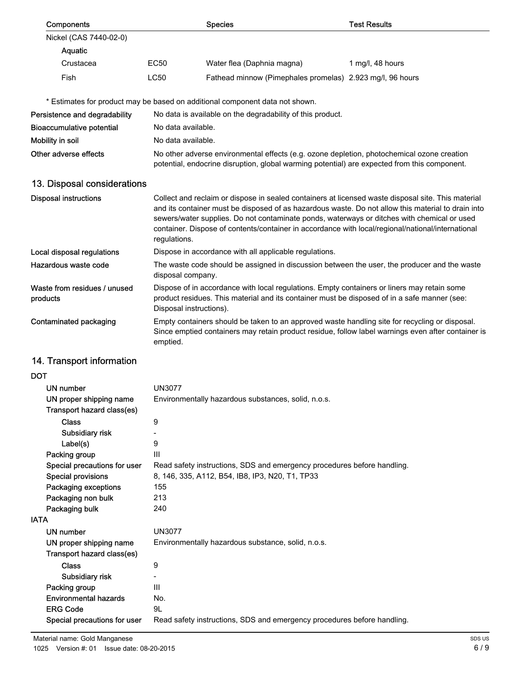| Components                                                |                                                                                                                                                                                                                                                                                                                                                                                                                              | <b>Species</b>                                                                                                                                                                             | <b>Test Results</b> |
|-----------------------------------------------------------|------------------------------------------------------------------------------------------------------------------------------------------------------------------------------------------------------------------------------------------------------------------------------------------------------------------------------------------------------------------------------------------------------------------------------|--------------------------------------------------------------------------------------------------------------------------------------------------------------------------------------------|---------------------|
| Nickel (CAS 7440-02-0)                                    |                                                                                                                                                                                                                                                                                                                                                                                                                              |                                                                                                                                                                                            |                     |
| Aquatic                                                   |                                                                                                                                                                                                                                                                                                                                                                                                                              |                                                                                                                                                                                            |                     |
| Crustacea                                                 | EC50                                                                                                                                                                                                                                                                                                                                                                                                                         | Water flea (Daphnia magna)                                                                                                                                                                 | 1 mg/l, 48 hours    |
| Fish                                                      | <b>LC50</b>                                                                                                                                                                                                                                                                                                                                                                                                                  | Fathead minnow (Pimephales promelas) 2.923 mg/l, 96 hours                                                                                                                                  |                     |
|                                                           |                                                                                                                                                                                                                                                                                                                                                                                                                              |                                                                                                                                                                                            |                     |
|                                                           |                                                                                                                                                                                                                                                                                                                                                                                                                              | * Estimates for product may be based on additional component data not shown.                                                                                                               |                     |
| Persistence and degradability                             |                                                                                                                                                                                                                                                                                                                                                                                                                              | No data is available on the degradability of this product.                                                                                                                                 |                     |
| <b>Bioaccumulative potential</b>                          | No data available.                                                                                                                                                                                                                                                                                                                                                                                                           |                                                                                                                                                                                            |                     |
| Mobility in soil                                          | No data available.                                                                                                                                                                                                                                                                                                                                                                                                           |                                                                                                                                                                                            |                     |
| Other adverse effects                                     |                                                                                                                                                                                                                                                                                                                                                                                                                              | No other adverse environmental effects (e.g. ozone depletion, photochemical ozone creation<br>potential, endocrine disruption, global warming potential) are expected from this component. |                     |
| 13. Disposal considerations                               |                                                                                                                                                                                                                                                                                                                                                                                                                              |                                                                                                                                                                                            |                     |
| <b>Disposal instructions</b>                              |                                                                                                                                                                                                                                                                                                                                                                                                                              |                                                                                                                                                                                            |                     |
|                                                           | Collect and reclaim or dispose in sealed containers at licensed waste disposal site. This material<br>and its container must be disposed of as hazardous waste. Do not allow this material to drain into<br>sewers/water supplies. Do not contaminate ponds, waterways or ditches with chemical or used<br>container. Dispose of contents/container in accordance with local/regional/national/international<br>regulations. |                                                                                                                                                                                            |                     |
| Local disposal regulations                                |                                                                                                                                                                                                                                                                                                                                                                                                                              | Dispose in accordance with all applicable regulations.                                                                                                                                     |                     |
| Hazardous waste code                                      | The waste code should be assigned in discussion between the user, the producer and the waste<br>disposal company.                                                                                                                                                                                                                                                                                                            |                                                                                                                                                                                            |                     |
| Waste from residues / unused<br>products                  | Dispose of in accordance with local regulations. Empty containers or liners may retain some<br>product residues. This material and its container must be disposed of in a safe manner (see:<br>Disposal instructions).                                                                                                                                                                                                       |                                                                                                                                                                                            |                     |
| Contaminated packaging                                    | Empty containers should be taken to an approved waste handling site for recycling or disposal.<br>Since emptied containers may retain product residue, follow label warnings even after container is<br>emptied.                                                                                                                                                                                                             |                                                                                                                                                                                            |                     |
| 14. Transport information                                 |                                                                                                                                                                                                                                                                                                                                                                                                                              |                                                                                                                                                                                            |                     |
| DOT                                                       |                                                                                                                                                                                                                                                                                                                                                                                                                              |                                                                                                                                                                                            |                     |
| <b>UN number</b>                                          | <b>UN3077</b>                                                                                                                                                                                                                                                                                                                                                                                                                |                                                                                                                                                                                            |                     |
| UN proper shipping name                                   | Environmentally hazardous substances, solid, n.o.s.                                                                                                                                                                                                                                                                                                                                                                          |                                                                                                                                                                                            |                     |
| Transport hazard class(es)                                |                                                                                                                                                                                                                                                                                                                                                                                                                              |                                                                                                                                                                                            |                     |
| <b>Class</b>                                              | 9                                                                                                                                                                                                                                                                                                                                                                                                                            |                                                                                                                                                                                            |                     |
| Subsidiary risk                                           | -                                                                                                                                                                                                                                                                                                                                                                                                                            |                                                                                                                                                                                            |                     |
| Label(s)                                                  | 9                                                                                                                                                                                                                                                                                                                                                                                                                            |                                                                                                                                                                                            |                     |
| Packing group                                             | Ш                                                                                                                                                                                                                                                                                                                                                                                                                            |                                                                                                                                                                                            |                     |
| Special precautions for user<br><b>Special provisions</b> | Read safety instructions, SDS and emergency procedures before handling.                                                                                                                                                                                                                                                                                                                                                      |                                                                                                                                                                                            |                     |
| Packaging exceptions                                      | 8, 146, 335, A112, B54, IB8, IP3, N20, T1, TP33<br>155                                                                                                                                                                                                                                                                                                                                                                       |                                                                                                                                                                                            |                     |
| Packaging non bulk                                        | 213                                                                                                                                                                                                                                                                                                                                                                                                                          |                                                                                                                                                                                            |                     |
| Packaging bulk                                            | 240                                                                                                                                                                                                                                                                                                                                                                                                                          |                                                                                                                                                                                            |                     |
| IATA                                                      |                                                                                                                                                                                                                                                                                                                                                                                                                              |                                                                                                                                                                                            |                     |
| UN number                                                 | <b>UN3077</b>                                                                                                                                                                                                                                                                                                                                                                                                                |                                                                                                                                                                                            |                     |
| UN proper shipping name<br>Transport hazard class(es)     |                                                                                                                                                                                                                                                                                                                                                                                                                              | Environmentally hazardous substance, solid, n.o.s.                                                                                                                                         |                     |
| <b>Class</b>                                              | 9                                                                                                                                                                                                                                                                                                                                                                                                                            |                                                                                                                                                                                            |                     |
| Subsidiary risk                                           | $\overline{\phantom{a}}$                                                                                                                                                                                                                                                                                                                                                                                                     |                                                                                                                                                                                            |                     |
| Packing group                                             | Ш                                                                                                                                                                                                                                                                                                                                                                                                                            |                                                                                                                                                                                            |                     |
| <b>Environmental hazards</b>                              | No.                                                                                                                                                                                                                                                                                                                                                                                                                          |                                                                                                                                                                                            |                     |
| <b>ERG Code</b>                                           | 9L                                                                                                                                                                                                                                                                                                                                                                                                                           |                                                                                                                                                                                            |                     |
| Special precautions for user                              | Read safety instructions, SDS and emergency procedures before handling.                                                                                                                                                                                                                                                                                                                                                      |                                                                                                                                                                                            |                     |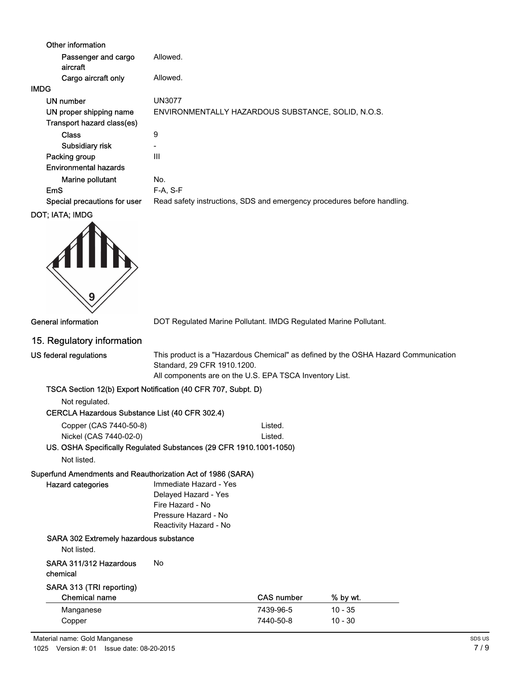| Other information               |                                                                         |
|---------------------------------|-------------------------------------------------------------------------|
| Passenger and cargo<br>aircraft | Allowed.                                                                |
| Cargo aircraft only             | Allowed.                                                                |
| IMDG                            |                                                                         |
| UN number                       | <b>UN3077</b>                                                           |
| UN proper shipping name         | ENVIRONMENTALLY HAZARDOUS SUBSTANCE, SOLID, N.O.S.                      |
| Transport hazard class(es)      |                                                                         |
| <b>Class</b>                    | 9                                                                       |
| Subsidiary risk                 | $\overline{\phantom{0}}$                                                |
| Packing group                   | Ш                                                                       |
| <b>Environmental hazards</b>    |                                                                         |
| Marine pollutant                | No.                                                                     |
| <b>EmS</b>                      | $F-A, S-F$                                                              |
| Special precautions for user    | Read safety instructions, SDS and emergency procedures before handling. |
| DOT; IATA; IMDG                 |                                                                         |



General information **DOT Regulated Marine Pollutant. IMDG Regulated Marine Pollutant.** 

### 15. Regulatory information

| US federal regulations |  |
|------------------------|--|
|------------------------|--|

This product is a "Hazardous Chemical" as defined by the OSHA Hazard Communication Standard, 29 CFR 1910.1200.

All components are on the U.S. EPA TSCA Inventory List.

#### TSCA Section 12(b) Export Notification (40 CFR 707, Subpt. D)

Not regulated.

#### CERCLA Hazardous Substance List (40 CFR 302.4)

| Copper (CAS 7440-50-8) | Listed. |
|------------------------|---------|
| Nickel (CAS 7440-02-0) | Listed. |

## US. OSHA Specifically Regulated Substances (29 CFR 1910.1001-1050)

Not listed.

Hazard categories

## Superfund Amendments and Reauthorization Act of 1986 (SARA)

Immediate Hazard - Yes Delayed Hazard - Yes Fire Hazard - No Pressure Hazard - No Reactivity Hazard - No

#### SARA 302 Extremely hazardous substance

Not listed.

#### SARA 311/312 Hazardous No chemical

# SARA 313 (TRI reporting)

|  |  | Chemical name |  |  |  |  |
|--|--|---------------|--|--|--|--|

| <b>Chemical name</b> | <b>CAS number</b> | % by wt.  |
|----------------------|-------------------|-----------|
| Manganese            | 7439-96-5         | $10 - 35$ |
| Copper               | 7440-50-8         | $10 - 30$ |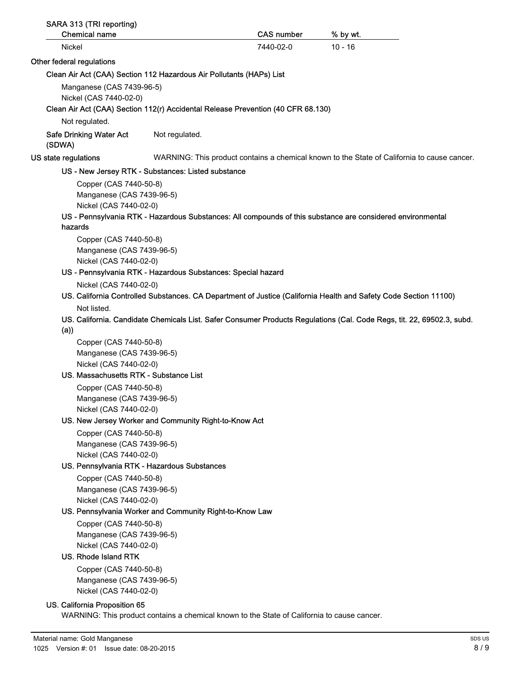| SARA 313 (TRI reporting)<br><b>Chemical name</b>                                 |                                                              | <b>CAS number</b> | % by wt.                                                                                                               |
|----------------------------------------------------------------------------------|--------------------------------------------------------------|-------------------|------------------------------------------------------------------------------------------------------------------------|
| Nickel                                                                           |                                                              | 7440-02-0         | $10 - 16$                                                                                                              |
| Other federal regulations                                                        |                                                              |                   |                                                                                                                        |
| Clean Air Act (CAA) Section 112 Hazardous Air Pollutants (HAPs) List             |                                                              |                   |                                                                                                                        |
| Manganese (CAS 7439-96-5)                                                        |                                                              |                   |                                                                                                                        |
| Nickel (CAS 7440-02-0)                                                           |                                                              |                   |                                                                                                                        |
| Clean Air Act (CAA) Section 112(r) Accidental Release Prevention (40 CFR 68.130) |                                                              |                   |                                                                                                                        |
| Not regulated.                                                                   |                                                              |                   |                                                                                                                        |
| <b>Safe Drinking Water Act</b><br>(SDWA)                                         | Not regulated.                                               |                   |                                                                                                                        |
| US state regulations                                                             |                                                              |                   | WARNING: This product contains a chemical known to the State of California to cause cancer.                            |
|                                                                                  | US - New Jersey RTK - Substances: Listed substance           |                   |                                                                                                                        |
| Copper (CAS 7440-50-8)                                                           |                                                              |                   |                                                                                                                        |
| Manganese (CAS 7439-96-5)                                                        |                                                              |                   |                                                                                                                        |
| Nickel (CAS 7440-02-0)                                                           |                                                              |                   |                                                                                                                        |
|                                                                                  |                                                              |                   | US - Pennsylvania RTK - Hazardous Substances: All compounds of this substance are considered environmental             |
| hazards                                                                          |                                                              |                   |                                                                                                                        |
| Copper (CAS 7440-50-8)                                                           |                                                              |                   |                                                                                                                        |
| Manganese (CAS 7439-96-5)<br>Nickel (CAS 7440-02-0)                              |                                                              |                   |                                                                                                                        |
|                                                                                  | US - Pennsylvania RTK - Hazardous Substances: Special hazard |                   |                                                                                                                        |
| Nickel (CAS 7440-02-0)                                                           |                                                              |                   |                                                                                                                        |
|                                                                                  |                                                              |                   | US. California Controlled Substances. CA Department of Justice (California Health and Safety Code Section 11100)       |
| Not listed.                                                                      |                                                              |                   |                                                                                                                        |
| (a)                                                                              |                                                              |                   | US. California. Candidate Chemicals List. Safer Consumer Products Regulations (Cal. Code Regs, tit. 22, 69502.3, subd. |
| Copper (CAS 7440-50-8)                                                           |                                                              |                   |                                                                                                                        |
| Manganese (CAS 7439-96-5)                                                        |                                                              |                   |                                                                                                                        |
| Nickel (CAS 7440-02-0)                                                           |                                                              |                   |                                                                                                                        |
| US. Massachusetts RTK - Substance List                                           |                                                              |                   |                                                                                                                        |
| Copper (CAS 7440-50-8)                                                           |                                                              |                   |                                                                                                                        |
| Manganese (CAS 7439-96-5)                                                        |                                                              |                   |                                                                                                                        |
| Nickel (CAS 7440-02-0)                                                           |                                                              |                   |                                                                                                                        |
|                                                                                  | US. New Jersey Worker and Community Right-to-Know Act        |                   |                                                                                                                        |
| Copper (CAS 7440-50-8)<br>Manganese (CAS 7439-96-5)                              |                                                              |                   |                                                                                                                        |
| Nickel (CAS 7440-02-0)                                                           |                                                              |                   |                                                                                                                        |
|                                                                                  | US. Pennsylvania RTK - Hazardous Substances                  |                   |                                                                                                                        |
| Copper (CAS 7440-50-8)                                                           |                                                              |                   |                                                                                                                        |
| Manganese (CAS 7439-96-5)                                                        |                                                              |                   |                                                                                                                        |
| Nickel (CAS 7440-02-0)                                                           |                                                              |                   |                                                                                                                        |
|                                                                                  | US. Pennsylvania Worker and Community Right-to-Know Law      |                   |                                                                                                                        |
| Copper (CAS 7440-50-8)                                                           |                                                              |                   |                                                                                                                        |
| Manganese (CAS 7439-96-5)                                                        |                                                              |                   |                                                                                                                        |
| Nickel (CAS 7440-02-0)                                                           |                                                              |                   |                                                                                                                        |
| US. Rhode Island RTK                                                             |                                                              |                   |                                                                                                                        |
| Copper (CAS 7440-50-8)                                                           |                                                              |                   |                                                                                                                        |
| Manganese (CAS 7439-96-5)                                                        |                                                              |                   |                                                                                                                        |
| Nickel (CAS 7440-02-0)                                                           |                                                              |                   |                                                                                                                        |

#### US. California Proposition 65

WARNING: This product contains a chemical known to the State of California to cause cancer.